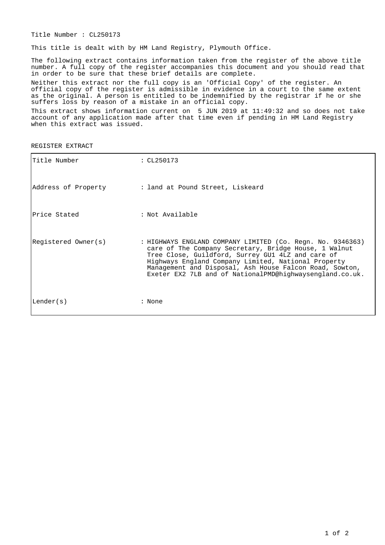Title Number : CL250173

This title is dealt with by HM Land Registry, Plymouth Office.

The following extract contains information taken from the register of the above title number. A full copy of the register accompanies this document and you should read that in order to be sure that these brief details are complete.

Neither this extract nor the full copy is an 'Official Copy' of the register. An official copy of the register is admissible in evidence in a court to the same extent as the original. A person is entitled to be indemnified by the registrar if he or she suffers loss by reason of a mistake in an official copy.

This extract shows information current on 5 JUN 2019 at 11:49:32 and so does not take account of any application made after that time even if pending in HM Land Registry when this extract was issued.

REGISTER EXTRACT

| Title Number        | : CL250173                                                                                                                                                                                                                                                                                                                                             |
|---------------------|--------------------------------------------------------------------------------------------------------------------------------------------------------------------------------------------------------------------------------------------------------------------------------------------------------------------------------------------------------|
| Address of Property | : land at Pound Street, Liskeard                                                                                                                                                                                                                                                                                                                       |
| lPrice Stated       | : Not Available                                                                                                                                                                                                                                                                                                                                        |
| Registered Owner(s) | : HIGHWAYS ENGLAND COMPANY LIMITED (Co. Regn. No. 9346363)<br>care of The Company Secretary, Bridge House, 1 Walnut<br>Tree Close, Guildford, Surrey GU1 4LZ and care of<br>Highways England Company Limited, National Property<br>Management and Disposal, Ash House Falcon Road, Sowton,<br>Exeter EX2 7LB and of NationalPMD@highwaysengland.co.uk. |
| Lender(s)           | : None                                                                                                                                                                                                                                                                                                                                                 |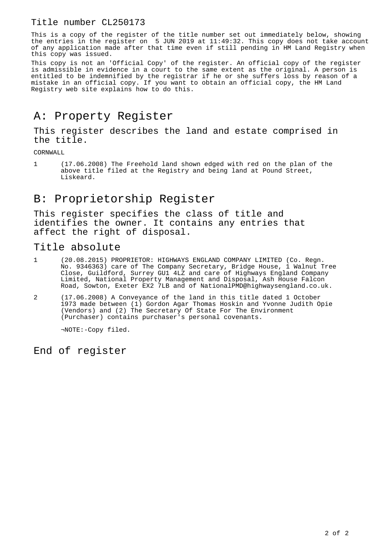### Title number CL250173

This is a copy of the register of the title number set out immediately below, showing the entries in the register on 5 JUN 2019 at 11:49:32. This copy does not take account of any application made after that time even if still pending in HM Land Registry when this copy was issued.

This copy is not an 'Official Copy' of the register. An official copy of the register is admissible in evidence in a court to the same extent as the original. A person is entitled to be indemnified by the registrar if he or she suffers loss by reason of a mistake in an official copy. If you want to obtain an official copy, the HM Land Registry web site explains how to do this.

## A: Property Register

This register describes the land and estate comprised in the title.

CORNWALL

1 (17.06.2008) The Freehold land shown edged with red on the plan of the above title filed at the Registry and being land at Pound Street, Liskeard.

## B: Proprietorship Register

This register specifies the class of title and identifies the owner. It contains any entries that affect the right of disposal.

#### Title absolute

- 1 (20.08.2015) PROPRIETOR: HIGHWAYS ENGLAND COMPANY LIMITED (Co. Regn. No. 9346363) care of The Company Secretary, Bridge House, 1 Walnut Tree Close, Guildford, Surrey GU1 4LZ and care of Highways England Company Limited, National Property Management and Disposal, Ash House Falcon Road, Sowton, Exeter EX2 7LB and of NationalPMD@highwaysengland.co.uk.
- 2 (17.06.2008) A Conveyance of the land in this title dated 1 October 1973 made between (1) Gordon Agar Thomas Hoskin and Yvonne Judith Opie (Vendors) and (2) The Secretary Of State For The Environment (Purchaser) contains purchaser's personal covenants.

¬NOTE:-Copy filed.

End of register